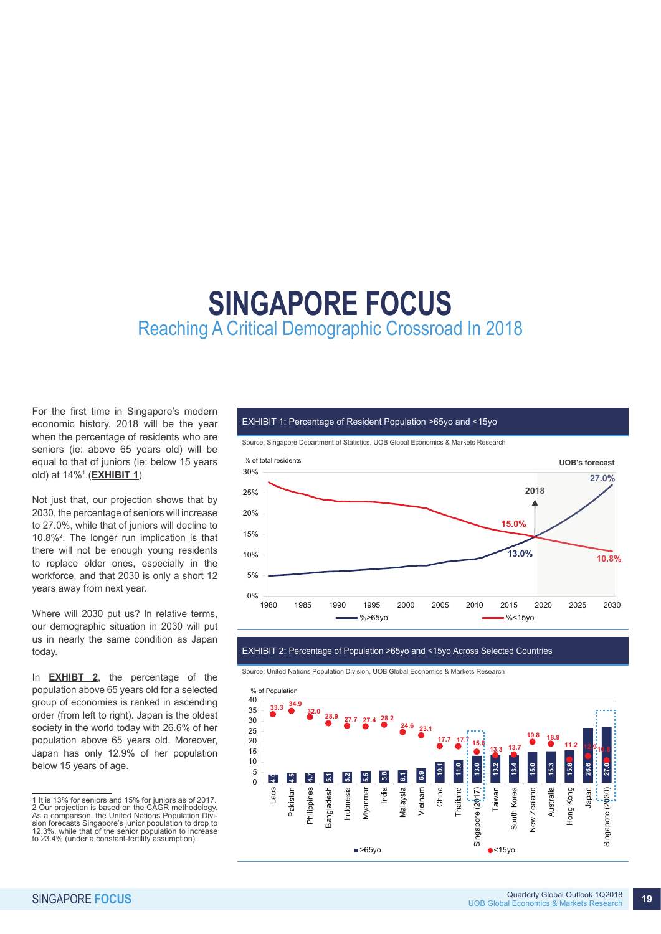# **SINGAPORE FOCUS** Reaching A Critical Demographic Crossroad In 2018

For the first time in Singapore's modern economic history, 2018 will be the year when the percentage of residents who are seniors (ie: above 65 years old) will be equal to that of juniors (ie: below 15 years old) at 14%1 .(**EXHIBIT 1**)

Not just that, our projection shows that by 2030, the percentage of seniors will increase to 27.0%, while that of juniors will decline to 10.8%2 . The longer run implication is that there will not be enough young residents to replace older ones, especially in the workforce, and that 2030 is only a short 12 years away from next year.

Where will 2030 put us? In relative terms, our demographic situation in 2030 will put us in nearly the same condition as Japan today.

In **EXHIBT 2**, the percentage of the population above 65 years old for a selected group of economies is ranked in ascending order (from left to right). Japan is the oldest society in the world today with 26.6% of her population above 65 years old. Moreover, Japan has only 12.9% of her population below 15 years of age.

#### EXHIBIT 1: Percentage of Resident Population >65yo and <15yo

Source: Singapore Department of Statistics, UOB Global Economics & Markets Research



## EXHIBIT 2: Percentage of Population >65yo and <15yo Across Selected Countries

Source: United Nations Population Division, UOB Global Economics & Markets Research



<sup>1</sup> It is 13% for seniors and 15% for juniors as of 2017. 2 Our projection is based on the CAGR methodology. As a comparison, the United Nations Population Division forecasts Singapore's junior population to drop to 12.3%, while that of the senior population to increase to 23.4% (under a constant-fertility assumption).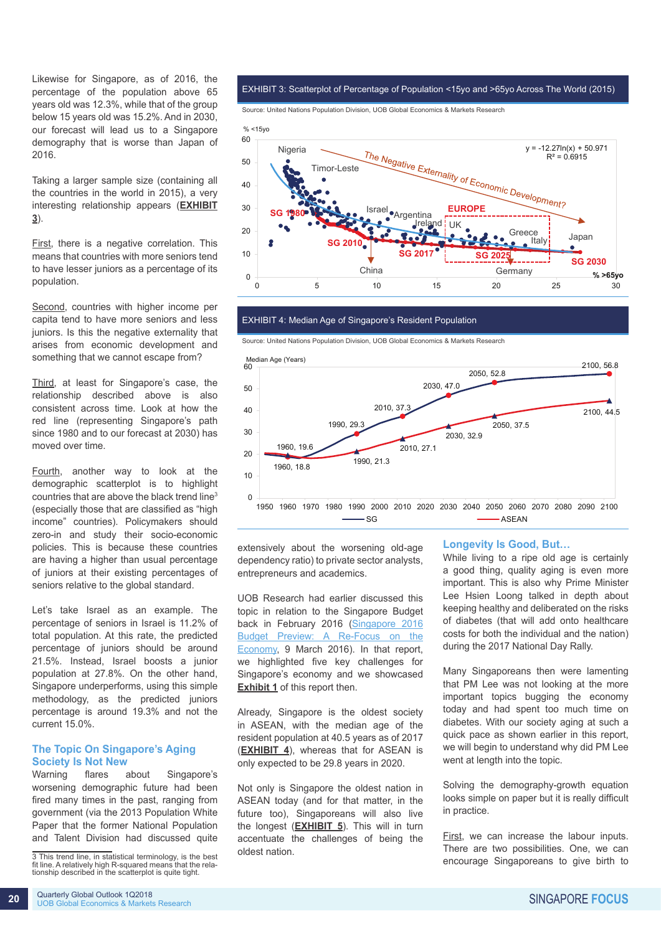Likewise for Singapore, as of 2016, the percentage of the population above 65 years old was 12.3%, while that of the group below 15 years old was 15.2%. And in 2030, our forecast will lead us to a Singapore demography that is worse than Japan of 2016.

Taking a larger sample size (containing all the countries in the world in 2015), a very interesting relationship appears (**EXHIBIT 3**).

First, there is a negative correlation. This means that countries with more seniors tend to have lesser juniors as a percentage of its population.

Second, countries with higher income per capita tend to have more seniors and less juniors. Is this the negative externality that arises from economic development and something that we cannot escape from?

Third, at least for Singapore's case, the relationship described above is also consistent across time. Look at how the red line (representing Singapore's path since 1980 and to our forecast at 2030) has moved over time.

Fourth, another way to look at the demographic scatterplot is to highlight countries that are above the black trend line3 (especially those that are classified as "high income" countries). Policymakers should zero-in and study their socio-economic policies. This is because these countries are having a higher than usual percentage of juniors at their existing percentages of seniors relative to the global standard.

Let's take Israel as an example. The percentage of seniors in Israel is 11.2% of total population. At this rate, the predicted percentage of juniors should be around 21.5%. Instead, Israel boosts a junior population at 27.8%. On the other hand, Singapore underperforms, using this simple methodology, as the predicted juniors percentage is around 19.3% and not the current 15.0%.

# **The Topic On Singapore's Aging Society Is Not New**

Warning flares about Singapore's worsening demographic future had been fired many times in the past, ranging from government (via the 2013 Population White Paper that the former National Population and Talent Division had discussed quite

EXHIBIT 3: Scatterplot of Percentage of Population <15yo and >65yo Across The World (2015)

Source: United Nations Population Division, UOB Global Economics & Markets Research



#### EXHIBIT 4: Median Age of Singapore's Resident Population





extensively about the worsening old-age dependency ratio) to private sector analysts, entrepreneurs and academics.

UOB Research had earlier discussed this topic in relation to the Singapore Budget back in February 2016 (Singapore 2016 Budget Preview: A Re-Focus on the Economy, 9 March 2016). In that report, we highlighted five key challenges for Singapore's economy and we showcased **Exhibit 1** of this report then.

Already, Singapore is the oldest society in ASEAN, with the median age of the resident population at 40.5 years as of 2017 (**EXHIBIT 4**), whereas that for ASEAN is only expected to be 29.8 years in 2020.

Not only is Singapore the oldest nation in ASEAN today (and for that matter, in the future too), Singaporeans will also live the longest (**EXHIBIT 5**). This will in turn accentuate the challenges of being the oldest nation.

#### **Longevity Is Good, But…**

While living to a ripe old age is certainly a good thing, quality aging is even more important. This is also why Prime Minister Lee Hsien Loong talked in depth about keeping healthy and deliberated on the risks of diabetes (that will add onto healthcare costs for both the individual and the nation) during the 2017 National Day Rally.

Many Singaporeans then were lamenting that PM Lee was not looking at the more important topics bugging the economy today and had spent too much time on diabetes. With our society aging at such a quick pace as shown earlier in this report, we will begin to understand why did PM Lee went at length into the topic.

Solving the demography-growth equation looks simple on paper but it is really difficult in practice.

First, we can increase the labour inputs. There are two possibilities. One, we can encourage Singaporeans to give birth to

<sup>3</sup> This trend line, in statistical terminology, is the best fit line. A relatively high R-squared means that the rela- tionship described in the scatterplot is quite tight.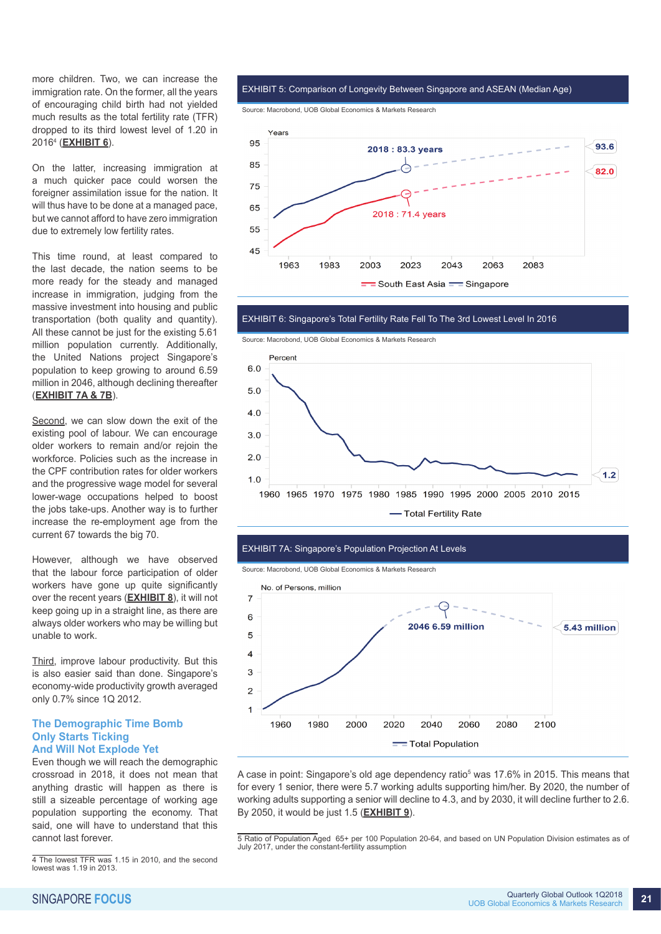more children. Two, we can increase the immigration rate. On the former, all the years of encouraging child birth had not yielded much results as the total fertility rate (TFR) dropped to its third lowest level of 1.20 in 20164 (**EXHIBIT 6**).

On the latter, increasing immigration at a much quicker pace could worsen the foreigner assimilation issue for the nation. It will thus have to be done at a managed pace, but we cannot afford to have zero immigration due to extremely low fertility rates.

This time round, at least compared to the last decade, the nation seems to be more ready for the steady and managed increase in immigration, judging from the massive investment into housing and public transportation (both quality and quantity). All these cannot be just for the existing 5.61 million population currently. Additionally, the United Nations project Singapore's population to keep growing to around 6.59 million in 2046, although declining thereafter (**EXHIBIT 7A & 7B**).

Second, we can slow down the exit of the existing pool of labour. We can encourage older workers to remain and/or rejoin the workforce. Policies such as the increase in the CPF contribution rates for older workers and the progressive wage model for several lower-wage occupations helped to boost the jobs take-ups. Another way is to further increase the re-employment age from the current 67 towards the big 70.

However, although we have observed that the labour force participation of older workers have gone up quite significantly over the recent years (**EXHIBIT 8**), it will not keep going up in a straight line, as there are always older workers who may be willing but unable to work.

Third, improve labour productivity. But this is also easier said than done. Singapore's economy-wide productivity growth averaged only 0.7% since 1Q 2012.

#### **The Demographic Time Bomb Only Starts Ticking And Will Not Explode Yet**

Even though we will reach the demographic crossroad in 2018, it does not mean that anything drastic will happen as there is still a sizeable percentage of working age population supporting the economy. That said, one will have to understand that this cannot last forever.

EXHIBIT 5: Comparison of Longevity Between Singapore and ASEAN (Median Age)

Source: Macrobond, UOB Global Economics & Markets Research



EXHIBIT 6: Singapore's Total Fertility Rate Fell To The 3rd Lowest Level In 2016







Source: Macrobond, UOB Global Economics & Markets Research



A case in point: Singapore's old age dependency ratio<sup>5</sup> was 17.6% in 2015. This means that for every 1 senior, there were 5.7 working adults supporting him/her. By 2020, the number of working adults supporting a senior will decline to 4.3, and by 2030, it will decline further to 2.6. By 2050, it would be just 1.5 (**EXHIBIT 9**).

<sup>4</sup> The lowest TFR was 1.15 in 2010, and the second lowest was 1.19 in 2013.

<sup>5</sup> Ratio of Population Aged 65+ per 100 Population 20-64, and based on UN Population Division estimates as of July 2017, under the constant-fertility assumption